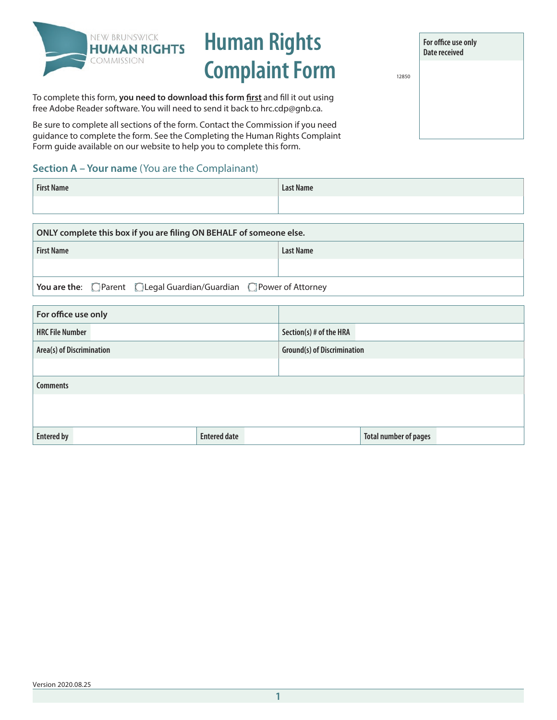

# **Human Rights**  Complaint Form

**For office use only Date received**

To complete this form, **you need to download this form first** and fill it out using free [Adobe Reader](https://acrobat.adobe.com/ca/en/acrobat/pdf-reader.html) software. You will need to send it back to hrc.cdp@gnb.ca.

Be sure to complete all sections of the form. Contact the Commission if you need guidance to complete the form. See the Completing the Human Rights Complaint Form guide available on our website to help you to complete this form.

## **Section A – Your name** (You are the Complainant)

| <b>First Name</b> | <b>Last Name</b> |
|-------------------|------------------|
|                   |                  |

| ONLY complete this box if you are filing ON BEHALF of someone else.                |                  |  |
|------------------------------------------------------------------------------------|------------------|--|
| <b>First Name</b>                                                                  | <b>Last Name</b> |  |
|                                                                                    |                  |  |
| You are the: $\Box$ Parent $\Box$ Legal Guardian/Guardian $\Box$ Power of Attorney |                  |  |

| For office use only       |                     |                                    |                              |
|---------------------------|---------------------|------------------------------------|------------------------------|
| <b>HRC File Number</b>    |                     | Section(s) # of the HRA            |                              |
| Area(s) of Discrimination |                     | <b>Ground(s) of Discrimination</b> |                              |
|                           |                     |                                    |                              |
| <b>Comments</b>           |                     |                                    |                              |
|                           |                     |                                    |                              |
|                           |                     |                                    |                              |
| <b>Entered by</b>         | <b>Entered date</b> |                                    | <b>Total number of pages</b> |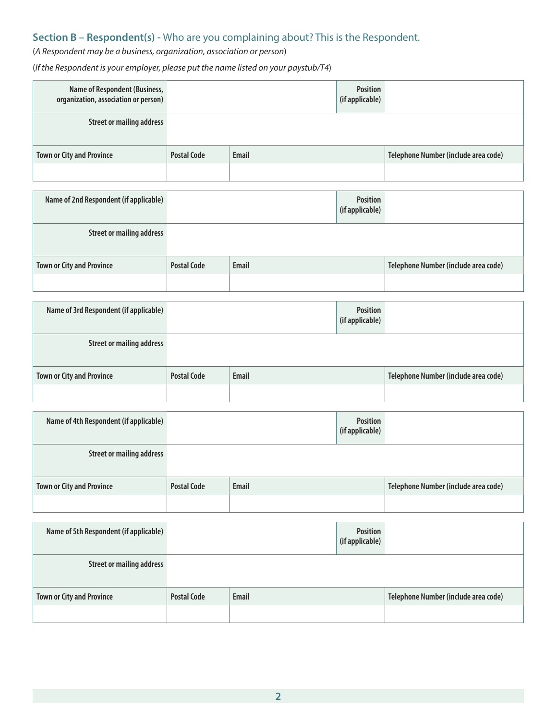## **Section B – Respondent(s) -** Who are you complaining about? This is the Respondent.

## (*A Respondent may be a business, organization, association or person*)

(*If the Respondent is your employer, please put the name listed on your paystub/T4*)

| Name of Respondent (Business,<br>organization, association or person) |                    |              | <b>Position</b><br>(if applicable) |                                      |
|-----------------------------------------------------------------------|--------------------|--------------|------------------------------------|--------------------------------------|
| <b>Street or mailing address</b>                                      |                    |              |                                    |                                      |
| <b>Town or City and Province</b>                                      | <b>Postal Code</b> | <b>Email</b> |                                    | Telephone Number (include area code) |
|                                                                       |                    |              |                                    |                                      |
| Name of 2nd Respondent (if applicable)                                |                    |              | <b>Position</b><br>(if applicable) |                                      |
| <b>Street or mailing address</b>                                      |                    |              |                                    |                                      |
| <b>Town or City and Province</b>                                      | <b>Postal Code</b> | <b>Email</b> |                                    | Telephone Number (include area code) |
|                                                                       |                    |              |                                    |                                      |
| Name of 3rd Respondent (if applicable)                                |                    |              | <b>Position</b><br>(if applicable) |                                      |
| <b>Street or mailing address</b>                                      |                    |              |                                    |                                      |
| <b>Town or City and Province</b>                                      | <b>Postal Code</b> | <b>Email</b> |                                    | Telephone Number (include area code) |
|                                                                       |                    |              |                                    |                                      |
| Name of 4th Respondent (if applicable)                                |                    |              | <b>Position</b><br>(if applicable) |                                      |
| <b>Street or mailing address</b>                                      |                    |              |                                    |                                      |
| <b>Town or City and Province</b>                                      | <b>Postal Code</b> | <b>Email</b> |                                    | Telephone Number (include area code) |
|                                                                       |                    |              |                                    |                                      |
| Name of 5th Respondent (if applicable)                                |                    |              | <b>Position</b><br>(if applicable) |                                      |
| <b>Street or mailing address</b>                                      |                    |              |                                    |                                      |
| <b>Town or City and Province</b>                                      | <b>Postal Code</b> | <b>Email</b> |                                    | Telephone Number (include area code) |
|                                                                       |                    |              |                                    |                                      |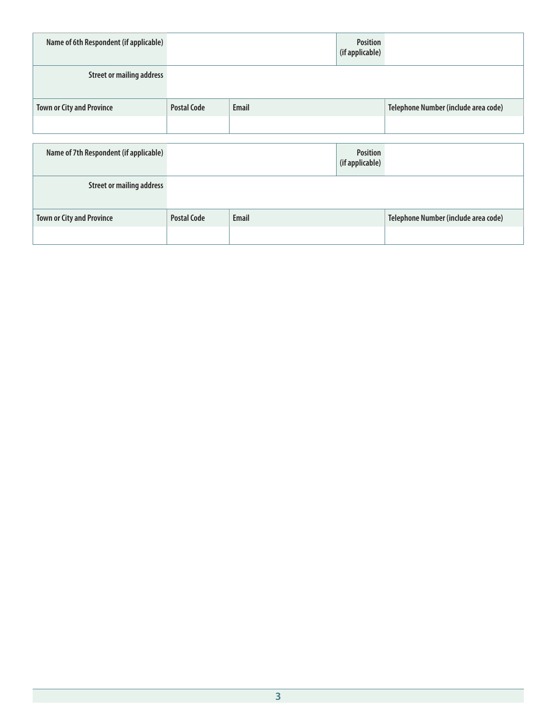| Name of 6th Respondent (if applicable) |                    |       | <b>Position</b><br>(if applicable) |                                      |
|----------------------------------------|--------------------|-------|------------------------------------|--------------------------------------|
| <b>Street or mailing address</b>       |                    |       |                                    |                                      |
| <b>Town or City and Province</b>       | <b>Postal Code</b> | Email |                                    | Telephone Number (include area code) |
|                                        |                    |       |                                    |                                      |
|                                        |                    |       |                                    |                                      |
| Name of 7th Respondent (if applicable) |                    |       | <b>Position</b><br>(if applicable) |                                      |
| <b>Street or mailing address</b>       |                    |       |                                    |                                      |
| <b>Town or City and Province</b>       | <b>Postal Code</b> | Email |                                    | Telephone Number (include area code) |
|                                        |                    |       |                                    |                                      |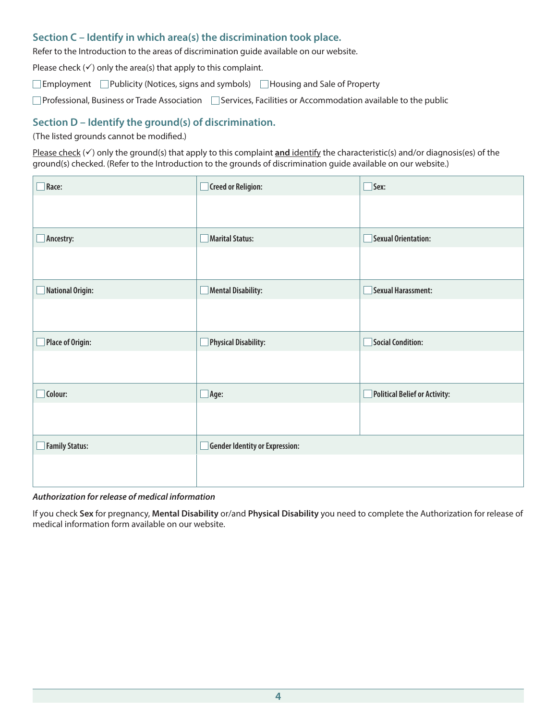#### **Section C – Identify in which area(s) the discrimination took place.**

Refer to the Introduction to the areas of discrimination guide available on our website.

Please check  $(\checkmark)$  only the area(s) that apply to this complaint.

**Employment** □Publicity (Notices, signs and symbols) □Housing and Sale of Property

 $\Box$ Professional, Business or Trade Association  $\Box$  Services, Facilities or Accommodation available to the public

#### **Section D – Identify the ground(s) of discrimination.**

(The listed grounds cannot be modified.)

Please check  $(\checkmark)$  only the ground(s) that apply to this complaint **and** identify the characteristic(s) and/or diagnosis(es) of the ground(s) checked. (Refer to the Introduction to the grounds of discrimination guide available on our website.)

| Race:            | <b>Creed or Religion:</b>      | $\Box$ Sex:                   |
|------------------|--------------------------------|-------------------------------|
|                  |                                |                               |
| Ancestry:        | <b>Marital Status:</b>         | <b>Sexual Orientation:</b>    |
|                  |                                |                               |
| National Origin: | Mental Disability:             | <b>Sexual Harassment:</b>     |
|                  |                                |                               |
| Place of Origin: | Physical Disability:           | Social Condition:             |
|                  |                                |                               |
| $\Box$ Colour:   | $\exists$ Age:                 | Political Belief or Activity: |
|                  |                                |                               |
| Family Status:   | Gender Identity or Expression: |                               |
|                  |                                |                               |

#### *Authorization for release of medical information*

If you check **Sex** for pregnancy, **Mental Disability** or/and **Physical Disability** you need to complete the Authorization for release of medical information form available on our website.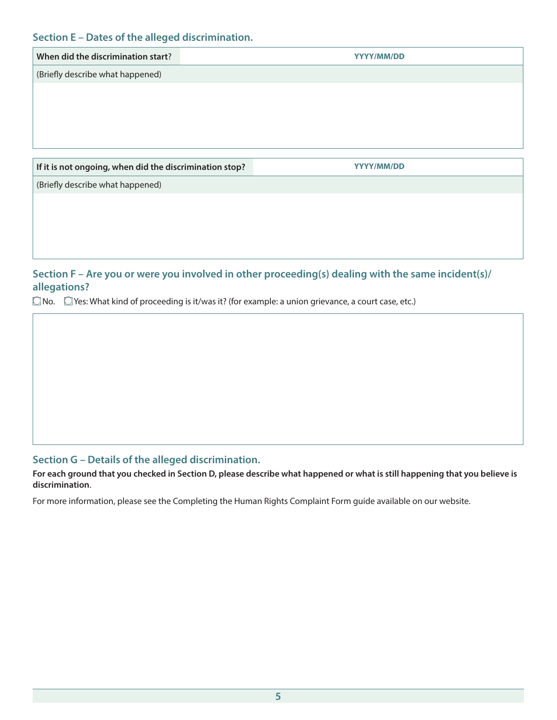#### **Section E – Dates of the alleged discrimination.**

| When did the discrimination start?                      | YYYY/MM/DD |
|---------------------------------------------------------|------------|
| (Briefly describe what happened)                        |            |
|                                                         |            |
|                                                         |            |
|                                                         |            |
|                                                         |            |
| If it is not ongoing, when did the discrimination stop? | YYYY/MM/DD |
| (Briefly describe what happened)                        |            |
|                                                         |            |
|                                                         |            |

### **Section F – Are you or were you involved in other proceeding(s) dealing with the same incident(s)/ allegations?**

 $\Box$  No.  $\Box$  Yes: What kind of proceeding is it/was it? (for example: a union grievance, a court case, etc.)

### **Section G – Details of the alleged discrimination.**

**For each ground that you checked in Section D, please describe what happened or what is still happening that you believe is discrimination**.

For more information, please see the Completing the Human Rights Complaint Form guide available on our website.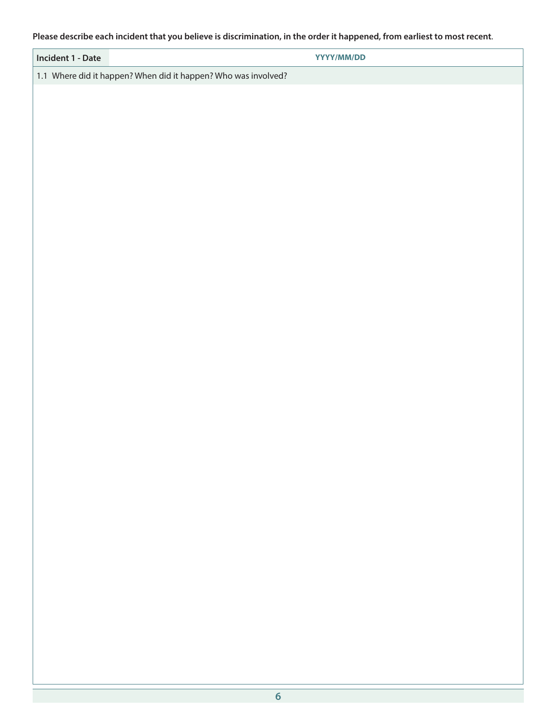#### **Please describe each incident that you believe is discrimination, in the order it happened, from earliest to most recent**.

| Incident 1 - Date                                              | YYYY/MM/DD |
|----------------------------------------------------------------|------------|
| 1.1 Where did it happen? When did it happen? Who was involved? |            |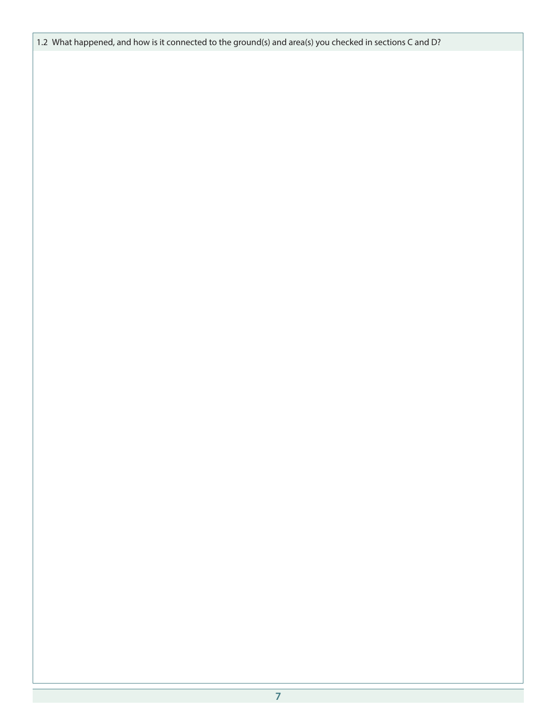1.2 What happened, and how is it connected to the ground(s) and area(s) you checked in sections C and D?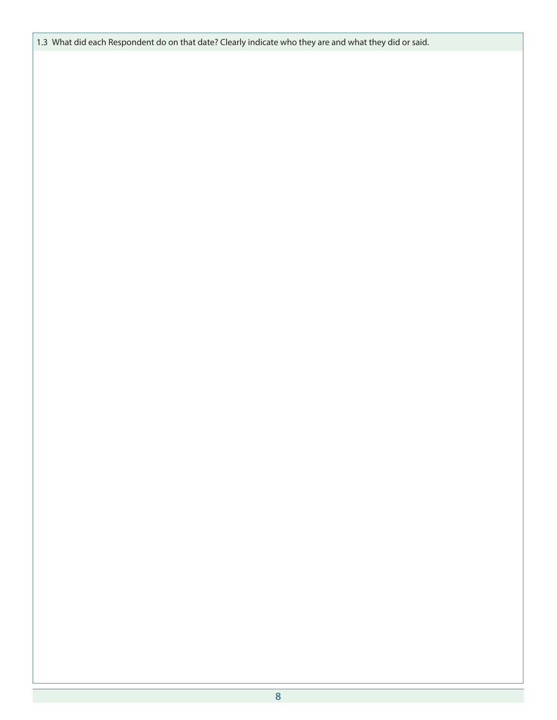1.3 What did each Respondent do on that date? Clearly indicate who they are and what they did or said.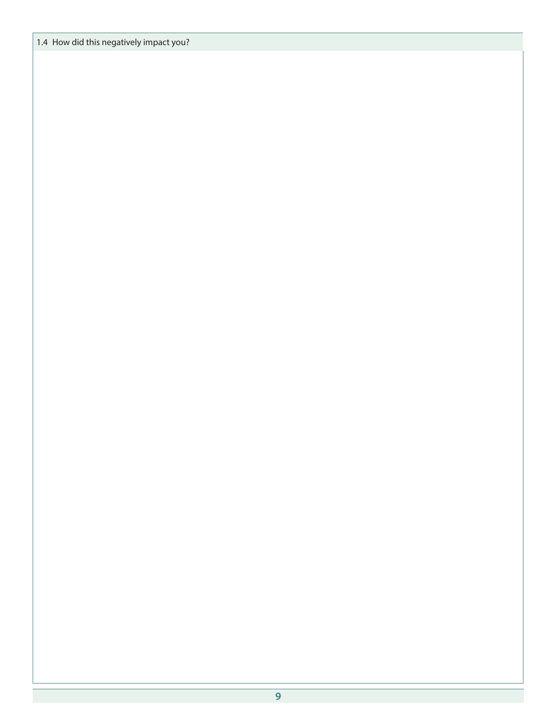1.4 How did this negatively impact you?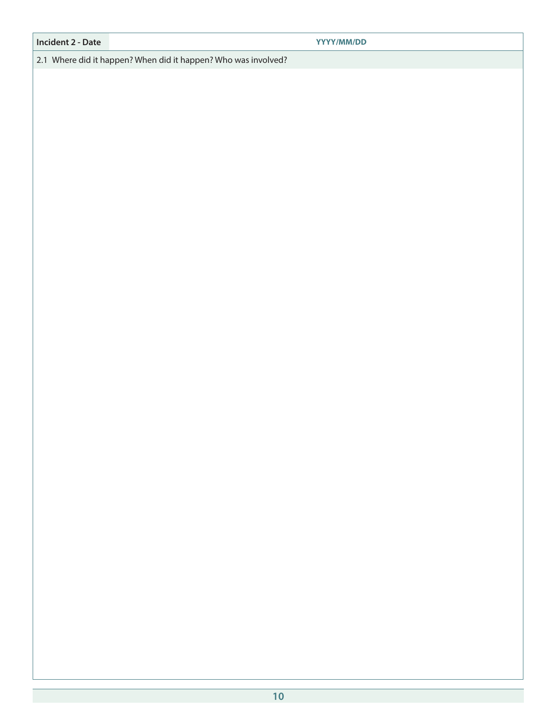#### **Incident 2 - Date YYYY/MM/DD**

2.1 Where did it happen? When did it happen? Who was involved?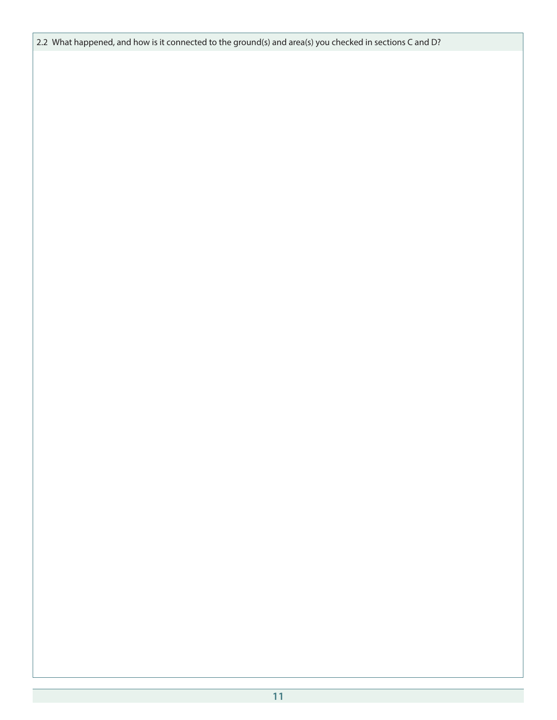2.2 What happened, and how is it connected to the ground(s) and area(s) you checked in sections C and D?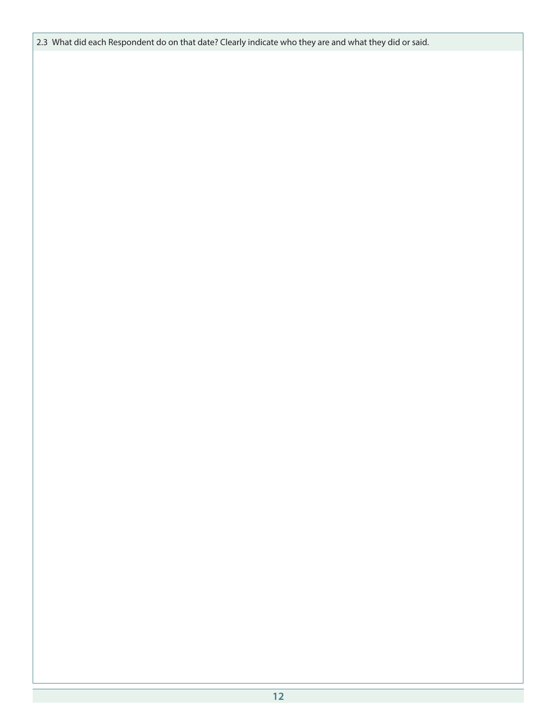2.3 What did each Respondent do on that date? Clearly indicate who they are and what they did or said.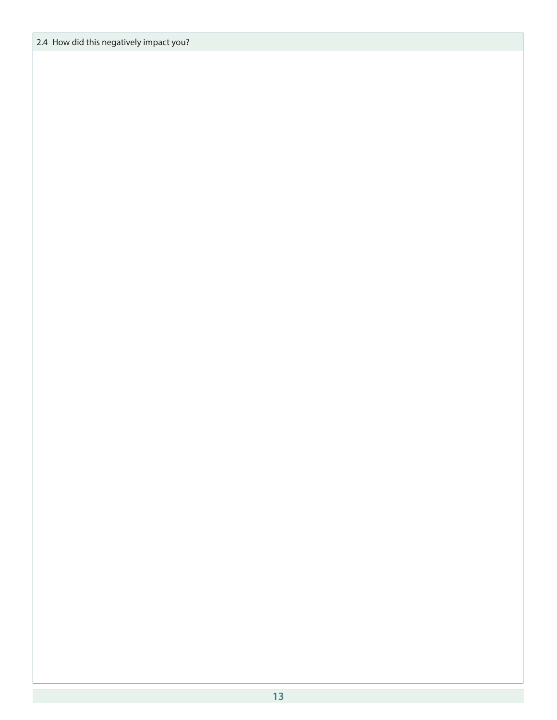2.4 How did this negatively impact you?